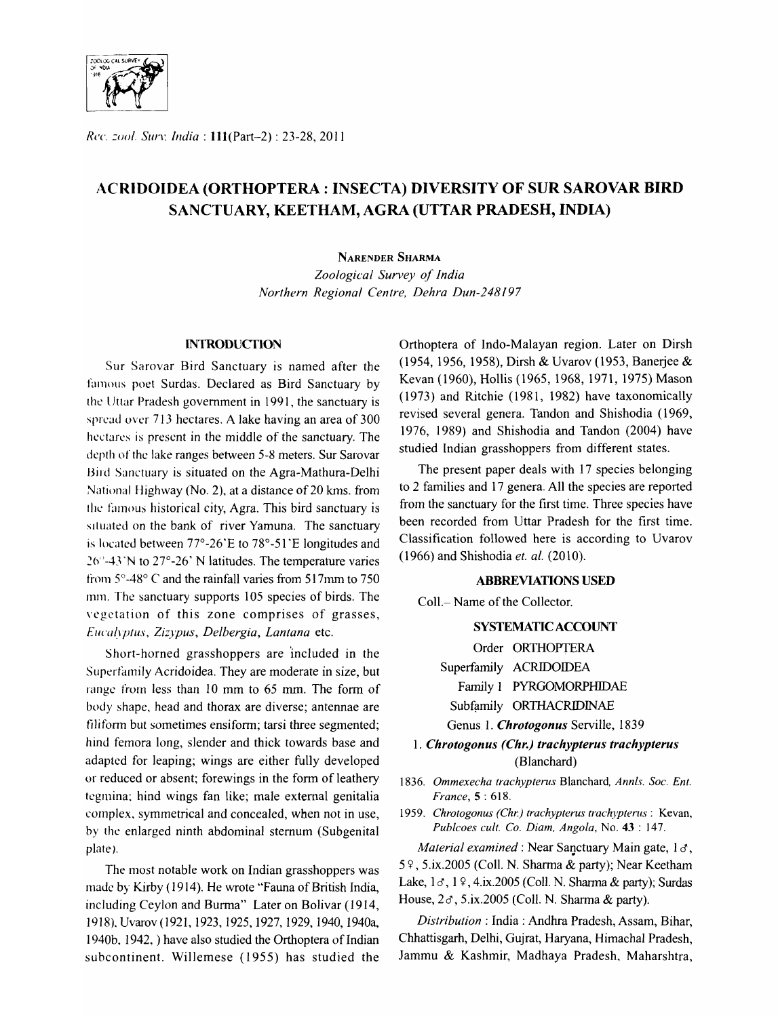

*Re('. ::()ol.* SlIIT. *India:* 1l1(Part-2) : 23-28,2011

# f\CRIDOIDEA (ORTHOPTERA : INSECTA) DIVERSITY OF SUR SAROVAR **BIRD**  SANCTUARY, KEETHAM, AGRA (UTTAR PRADESH, INDIA)

## NARENDER SHARMA

*Zoological Survey of India Northern Regional Centre, Dehra Dun-248197* 

## **INTRODUCTION**

Sur Sarovar Bird Sanctuary is named after the famous poet Surdas. Declared as Bird Sanctuary by the Uttar Pradesh government in 1991, the sanctuary is spread over 713 hectares. A lake having an area of 300 hectares is present in the middle of the sanctuary. The depth of the lake ranges between 5-8 meters. Sur Sarovar Bird Sanctuary is situated on the Agra-Mathura-Delhi National Highway (No.2), at a distance of 20 kms. from the famous historical city, Agra. This bird sanctuary is situated on the bank of river Yamuna. The sanctuary is located between 77°-26'E to 78°-51'E longitudes and .26"-4J 'N to 27°-26' N latitudes. The temperature varies from 5°-48° C and the rainfall varies from 517mm to 750 mm. The sanctuary supports 105 species of birds. The vcgctation of this zone comprises of grasses, Ellca~lplus, *Ziz}pus, Delbergia, Lantana* etc.

Short-horned grasshoppers are 'included in the Superfamily Acridoidea. They are moderate in size, but range from less than 10 mm to 65 mm. The form of body shape, head and thorax are diverse; antennae are filiform but sometimes ensiform; tarsi three segmented; hind femora long, slender and thick towards base and adapted for leaping; wings are either fully developed or reduced or absent; forewings in the form of leathery tegmina: hind wings fan like; male external genitalia complex, symmetrical and concealed, when not in use, by the enlarged ninth abdominal sternum (Subgenital plate).

The most notable work on Indian grasshoppers was made by Kirby (1914). He wrote "Fauna of British India, including Ceylon and Burma" Later on Bolivar (1914, 1918). Uvarov(1921, 1923, 1925, 1927,1929,1940, 1940a, 1940b. 1942. ) have also studied the Orthoptera of Indian subcontinent. Willemese (1955) has studied the Orthoptera of Indo-Malayan region. Later on Dirsh (1954, 1956, 1958), Dirsh & Uvarov (1953, Banerjee & Kevan (1960), Hollis (1965,1968,1971,1975) Mason (1973) and Ritchie (1981, 1982) have taxonomically revised several genera. Tandon and Shishodia (1969, 1976, 1989) and Shishodia and Tandon (2004) have studied Indian grasshoppers from different states.

The present paper deals with 17 species belonging to 2 families and 17 genera. All the species are reported from the sanctuary for the first time. Three species have been recorded from Uttar Pradesh for the first time. Classification followed here is according to Uvarov (1966) and Shishodia *et. al.* (2010) .

#### **ABBREVIATIONS USED**

Coll.- Name of the Collector.

## SYSTEMATIC ACCOUNT

Order ORTHOPTERA

Superfamily ACRIDOIDEA

Family 1 PYRGOMORPHIDAE

Subfamily ORTHACRIDINAE

Genus. 1. *Chrotogonus* Serville, 1839

*1. Chrotogonus (Chr.) trachypterus trachypterus*  (Blanchard)

*1836. Ommexecha trachypterus* Blanchard, *Annis. Soc. Ent. France,* 5 : 618.

1959. Chrotogonus (Chr.) trachypterus trachypterus: Kevan, *Publcoes cult. Co. Diam, Angola,* No. 43 : 147.

*Material examined:* Near Sanctuary Main gate, 18,  $5$   $\frac{6}{7}$ , 5.ix.2005 (Coll. N. Sharma & party); Near Keetham Lake,  $1 \sigma$ ,  $1 \gamma$ , 4.ix.2005 (Coll. N. Sharma & party); Surdas House,  $2\sigma$ , 5.ix.2005 (Coll. N. Sharma & party).

*Distribution:* India: Andhra Pradesh, Assam, Bihar, Chhattisgarh, Delhi, Gujrat, Haryana, Himachal Pradesh, Jammu & Kashmir, Madhaya Pradesh, Maharshtra,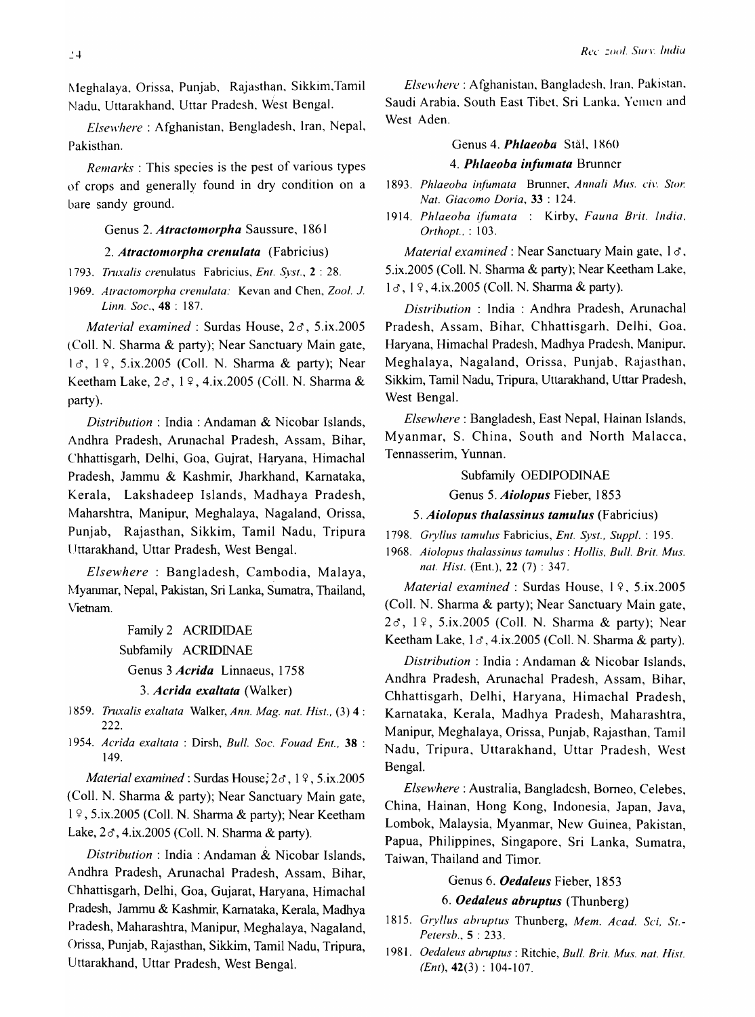Meghalaya, Orissa, Punjab, Rajasthan, Sikkim, Tamil Nadu, Uttarakhand. Uttar Pradesh, West Bengal.

*Elsewhere* : Afghanistan, Bengladesh, Iran, Nepal, Pakisthan.

*Remarks* : This species is the pest of various types of crops and generally found in dry condition on a bare sandy ground.

## Genus 2. *Atractomorpha* Saussure, 1861

## *2. Atractomorpha crenulata* (Fabricius)

- 1793. Truxalis crenulatus Fabricius, *Ent. Syst.*, 2:28.
- *1969. Atractomorpha crenulata:* Kevan and Chen, *Zool.* 1. *Linn. Soc.,* 48 : 187.

*Material examined:* Surdas House, *2d',* 5.ix.2005 (ColI. N. Sharma & party); Near Sanctuary Main gate,  $1 \sigma$ ,  $1 \Omega$ , 5.ix.2005 (Coll. N. Sharma & party); Near Keetham Lake,  $2\sigma$ ,  $1\sqrt{9}$ ,  $4.1x$ ,  $2005$  (Coll. N. Sharma & party).

*Distribution:* India: Andaman & Nicobar Islands, Andhra Pradesh, Arunachal Pradesh, Assam, Bihar, Chhattisgarh, Delhi, Goa, Gujrat, Haryana, Himachal Pradesh, Jammu & Kashmir, Jharkhand, Kamataka, Kerala, Lakshadeep Islands, Madhaya Pradesh, Maharshtra, Manipur, Meghalaya, Nagaland, Orissa, Punjab, Rajasthan, Sikkim, Tamil Nadu, Tripura Uttarakhand, Uttar Pradesh, West Bengal.

*Elsewhere* : Bangladesh, Cambodia, Malaya, ~,,1yanrnar, Nepal, Pakistan, Sri Lanka, Sumatra, Thailand, Vietnam.

> Family 2 ACRIDIDAE Subfamily ACRIDINAE Genus 3 *Acrida* Linnaeus, 1758 *3. Acrida exaltata* (Walker)

- 1859. *Truxalis exaltata Walker, Ann. Mag. nat. Hist.,* (3) 4 : 222.
- *1954. Acrida exaltata* : Dirsh, *Bull. Soc. Fouad Ent.,* 38 : 149.

*Material examined:* Surdas House; *2d',* 1 ~, 5.ix.2005 (ColI. N. Sharma & party); Near Sanctuary Main gate,  $1 \frac{9}{7}$ , 5.ix.2005 (Coll. N. Sharma & party); Near Keetham Lake, *2d',* 4.ix.2005 (ColI. N. Sharma & party).

*Distribution* : India : Andaman &. Nicobar Islands, Andhra Pradesh, Arunachal Pradesh, Assam, Bihar, Chhattisgarh, Delhi, Goa, Gujarat, Haryana, Himachal Pradesh, Jammu & Kashmir, Kamataka, Kerala, Madhya Pradesh, Maharashtra, Manipur, Meghalaya, Nagaland, Orissa, Punjab, Rajasthan, Sikkim, Tamil Nadu, Tripura, Uttarakhand, Uttar Pradesh, West Bengal.

*Elsewhere* : Afghanistan, Bangladesh, Iran, Pakistan, Saudi Arabia. South East Tibet. Sri Lanka. Yemen and West Aden.

#### Genus 4. *Phlaeoba* Stål, 1860

## 4. Phlaeoba infumata Brunner

- 1893. Phlaeoba *infumata* Brunner, *Annali Mus. civ. Stor. Nat. Giacomo Doria,* 33 : 124.
- 1914. Phlaeoba ifumata : Kirby, Fauna Brit. India. *Orthopt ..* : 103.

*Material examined:* Near Sanctuary Main gate, 18, 5.ix.2005 (ColI. N. Sharma & party); Near Keetham Lake, 1  $\sigma$ , 1  $\circ$ , 4.ix.2005 (Coll. N. Sharma & party).

*Distribution* : India : Andhra Pradesh, Arunachal Pradesh, Assam, Bihar, Chhattisgarh. Delhi, Goa. Haryana, Himachal Pradesh, Madhya Pradesh, Manipur. Meghalaya, Nagaland, Orissa, Punjab. Rajasthan, Sikkim, Tamil Nadu, Tripura, Uttarakhand, Uttar Pradesh, West Bengal.

*Elsewhere:* Bangladesh, East Nepal, Hainan Islands, Myanmar, S. China, South and North Malacca, Tennasserim, Yunnan.

## Subfamily OEDIPODINAE

Genus 5. *Aiolopus* Fieber, 1853

*5. Aiolopus thalassinus tamulus* (Fabricius)

*1798. Gryllus tamulus* Fabricius, *Ent. Syst., Suppl.* : 195.

*1968. Aiolopus thalassinus tamulus* : *Hollis. Bull. Brit. Mus. nat. Hist.* (Ent.), 22 (7) : 347.

*Material examined:* Surdas House, 19, 5.ix.2005 (ColI. N. Sharma & party); Near Sanctuary Main gate, 2*d*, 19, 5.ix.2005 (Coll. N. Sharma & party); Near Keetham Lake,  $1 \sigma$ , 4.ix.2005 (Coll. N. Sharma & party).

*Distribution:* India: Andaman & Nicobar Islands, Andhra Pradesh, Arunachal Pradesh, Assam, Bihar, Chhattisgarh, Delhi, Haryana, Himachal Pradesh, Karnataka, Kerala, Madhya Pradesh, Maharashtra, Manipur, Meghalaya, Orissa, Punjab, Rajasthan, Tamil Nadu, Tripura, Uttarakhand, Uttar Pradesh, West Bengal.

*Elsewhere:* Australia, Bangladesh, Borneo, Celebes, China, Hainan, Hong Kong, Indonesia, Japan, Java, Lombok, Malaysia, Myanmar, New Guinea, Pakistan, Papua, Philippines, Singapore, Sri Lanka, Sumatra, Taiwan, Thailand and Timor.

## Genus 6. *Oedaleus* Fieber, 1853

## *6. Oedaleus abruptus* (Thunberg)

- *1815. Gryllus abruptus* Thunberg, *Mem. Acad. Sci, St.- Petersb.,* 5 : 233.
- *1981. Oedaleus abruptus* : Ritchie, *Bull. Brit. Mus. nat. Hist. (Ent),* 42(3) : 104-107.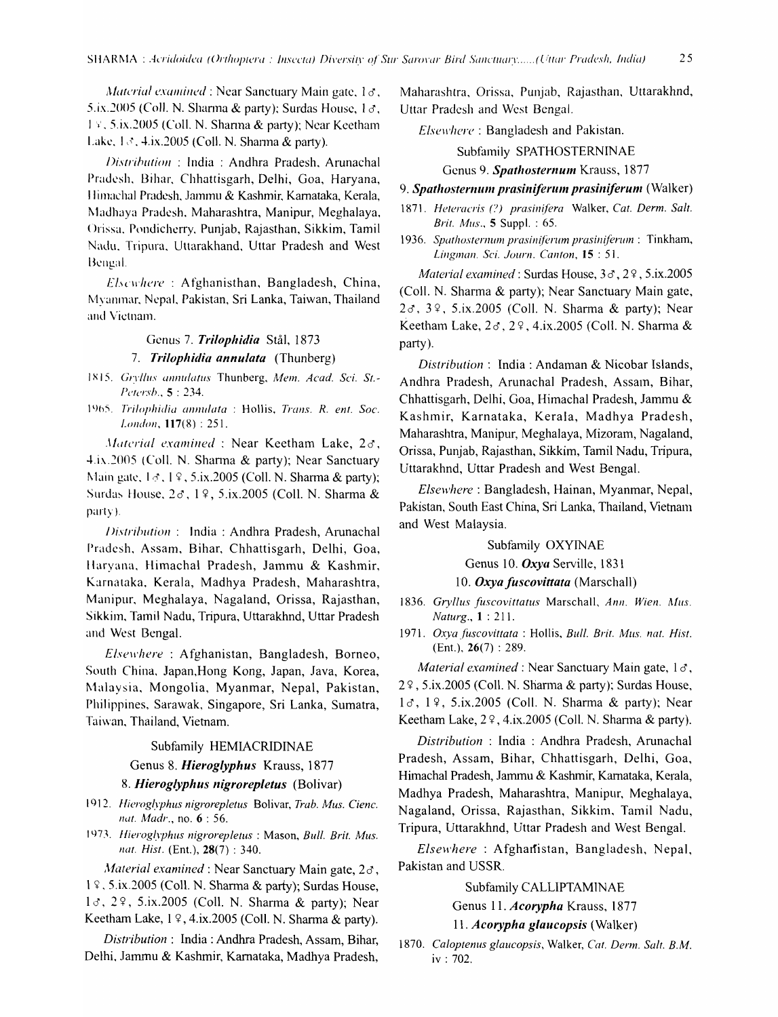*Material examined*: Near Sanctuary Main gate,  $1\sigma$ , 5.ix.2005 (Coll. N. Sharma & party); Surdas House,  $1\sigma$ , 19, 5.ix.2005 (Coll. N. Sharma & party); Near Keetham Lake,  $1 \leq 4$ , ix.2005 (Coll. N. Sharma & party).

Distribution: India: Andhra Pradesh, Arunachal Pradesh, Bihar, Chhattisgarh, Delhi, Goa, Haryana, Himachal Pradesh, Jammu & Kashmir, Karnataka, Kerala, Madhaya Pradesh, Maharashtra, Manipur, Meghalaya, Orissa, Pondicherry, Punjab, Rajasthan, Sikkim, Tamil Nadu, Tripura, Uttarakhand, Uttar Pradesh and West Bengal.

Elscwhere: Afghanisthan, Bangladesh, China, Myanmar, Nepal, Pakistan, Sri Lanka, Taiwan, Thailand and Vietnam.

# Genus 7. Trilophidia Stål, 1873

7. Trilophidia annulata (Thunberg)

- 1815. Gryllus annulatus Thunberg, Mem. Acad. Sci. St.-Petersb., 5:234.
- 1965. Trilophidia annulata : Hollis, Trans. R. ent. Soc. London, 117(8): 251.

Material examined : Near Keetham Lake,  $2\sigma$ , 4.ix.2005 (Coll. N. Sharma & party); Near Sanctuary Main gate,  $1 \leq 1$ ,  $1 \leq 5$ , ix. 2005 (Coll. N. Sharma & party); Surdas House, 28, 19, 5.ix.2005 (Coll. N. Sharma & party).

Distribution: India: Andhra Pradesh, Arunachal Pradesh, Assam, Bihar, Chhattisgarh, Delhi, Goa, Haryana, Himachal Pradesh, Jammu & Kashmir, Karnataka, Kerala, Madhya Pradesh, Maharashtra, Manipur, Meghalaya, Nagaland, Orissa, Rajasthan, Sikkim, Tamil Nadu, Tripura, Uttarakhnd, Uttar Pradesh and West Bengal.

Elsewhere: Afghanistan, Bangladesh, Borneo, South China, Japan, Hong Kong, Japan, Java, Korea, Malaysia, Mongolia, Myanmar, Nepal, Pakistan, Philippines, Sarawak, Singapore, Sri Lanka, Sumatra, Taiwan, Thailand, Vietnam.

#### Subfamily HEMIACRIDINAE

## Genus 8. Hieroglyphus Krauss, 1877

### 8. Hieroglyphus nigrorepletus (Bolivar)

- 1912. Hieroglyphus nigrorepletus Bolivar, Trab. Mus. Cienc. nat. Madr., no. 6:56.
- 1973. Hieroglyphus nigrorepletus: Mason, Bull. Brit. Mus. nat. Hist. (Ent.), 28(7): 340.

Material examined : Near Sanctuary Main gate,  $2\sigma$ , 19, 5.ix.2005 (Coll. N. Sharma & party); Surdas House, 13, 29, 5.ix.2005 (Coll. N. Sharma & party); Near Keetham Lake, 19, 4.ix.2005 (Coll. N. Sharma & party).

Distribution: India: Andhra Pradesh, Assam, Bihar, Delhi, Jammu & Kashmir, Karnataka, Madhya Pradesh,

Maharashtra, Orissa, Punjab, Rajasthan, Uttarakhnd, Uttar Pradesh and West Bengal.

Elsewhere: Bangladesh and Pakistan.

Subfamily SPATHOSTERNINAE

## Genus 9. Spathosternum Krauss, 1877

#### 9. Spathosternum prasiniferum prasiniferum (Walker)

- 1871. Heteracris (?) prasinifera Walker, Cat. Derm. Salt. *Brit. Mus.*, 5 Suppl.: 65.
- 1936. Spathosternum prasiniferum prasiniferum: Tinkham, Lingman. Sci. Journ. Canton, 15:51.

Material examined: Surdas House, 38, 29, 5.ix.2005 (Coll. N. Sharma & party); Near Sanctuary Main gate, 26, 39, 5.ix.2005 (Coll. N. Sharma & party); Near Keetham Lake, 28, 29, 4.ix.2005 (Coll. N. Sharma & party).

Distribution: India: Andaman & Nicobar Islands, Andhra Pradesh, Arunachal Pradesh, Assam, Bihar, Chhattisgarh, Delhi, Goa, Himachal Pradesh, Jammu & Kashmir, Karnataka, Kerala, Madhya Pradesh, Maharashtra, Manipur, Meghalaya, Mizoram, Nagaland, Orissa, Punjab, Rajasthan, Sikkim, Tamil Nadu, Tripura, Uttarakhnd, Uttar Pradesh and West Bengal.

Elsewhere: Bangladesh, Hainan, Myanmar, Nepal, Pakistan, South East China, Sri Lanka, Thailand, Vietnam and West Malaysia.

#### Subfamily OXYINAE

Genus 10. Oxya Serville, 1831

#### 10. Oxya fuscovittata (Marschall)

1836. Gryllus fuscovittatus Marschall, Ann. Wien. Mus. *Naturg.*, **1** : 211.

1971. Oxya fuscovittata : Hollis, Bull. Brit. Mus. nat. Hist.  $(Ent.), 26(7): 289.$ 

*Material examined*: Near Sanctuary Main gate,  $1\sigma$ , 29, 5.ix.2005 (Coll. N. Sharma & party); Surdas House,  $1\sigma$ ,  $1\%$ , 5.ix.2005 (Coll. N. Sharma & party); Near Keetham Lake, 29, 4.ix.2005 (Coll. N. Sharma & party).

Distribution: India: Andhra Pradesh, Arunachal Pradesh, Assam, Bihar, Chhattisgarh, Delhi, Goa, Himachal Pradesh, Jammu & Kashmir, Karnataka, Kerala, Madhya Pradesh, Maharashtra, Manipur, Meghalaya, Nagaland, Orissa, Rajasthan, Sikkim, Tamil Nadu, Tripura, Uttarakhnd, Uttar Pradesh and West Bengal.

Elsewhere: Afghanistan, Bangladesh, Nepal, Pakistan and USSR.

## Subfamily CALLIPTAMINAE

Genus 11. Acorypha Krauss, 1877

11. Acorypha glaucopsis (Walker)

1870. Caloptenus glaucopsis, Walker, Cat. Derm. Salt. B.M. iv: 702.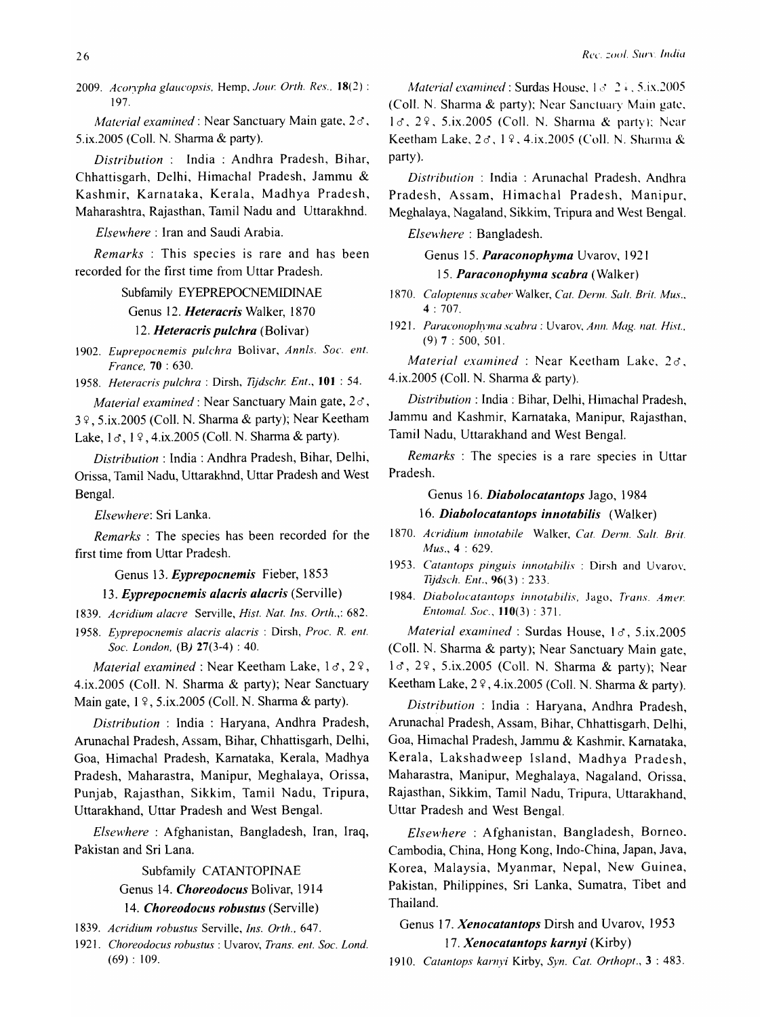*2009. Acol')pha glaucopsis.* Hemp, *Jaw: Orth. Res ..* 18(2) : 197.

*Material examined:* Near Sanctuary Main gate, *20,*  5.ix.2005 (Coll. N. Sharma & party).

*Distribution:* India: Andhra Pradesh, Bihar, Chhattisgarh, Delhi, Himachal Pradesh, Jammu & Kashmir, Karnataka, Kerala, Madhya Pradesh, Maharashtra, Rajasthan, Tamil Nadu and Uttarakhnd.

*Elsewhere:* Iran and Saudi Arabia.

*Remarks* : This species is rare and has been recorded for the first time from Uttar Pradesh.

#### Subfamily EYEPREPOCNEMIDINAE

Genus 12. *Heteracris* Walker, 1870

*12. Heteracris pulchra* (Bolivar)

*1902. Euprepocnernis pulchra* Bolivar, *Annis. Soc. enl. France,* 70 : 630.

*1958. Heteracris pulchra* : Dirsh, *Tljdschr. Ent.,* **101** : 54.

*Material examined:* Near Sanctuary Main gate, *20,*   $3$   $9$ ,  $5$ ,  $ix$ ,  $2005$  (Coll. N. Sharma & party); Near Keetham Lake,  $1 \sigma$ ,  $1 \gamma$ ,  $4$ , ix. 2005 (Coll. N. Sharma & party).

*Distribution:* India: Andhra Pradesh, Bihar, Delhi, Orissa, Tamil Nadu, Uttarakhnd, Uttar Pradesh and West Bengal.

*Elsewhere:* Sri Lanka.

*Remarks* : The species has been recorded for the first time from Uttar Pradesh.

## Genus 13. *Eyprepocnemis* Fieber, 1853

*13. Eyprepocnemis alacris alacris* (Serville)

*1839. Acridiurn alacre* Serville, *Hist. Nat. Ins. Orth.,: 682.* 

*1958. £yprepocnernis alacris alacris* : Dirsh, *Proc. R. ent. Soc. London,* (B) 27(3-4) : 40.

*Material examined: Near Keetham Lake, 18, 29,* 4.ix.2005 (CoIl. N. Sharma & party); Near Sanctuary Main gate,  $1 \, \frac{9}{7}$ , 5.ix.2005 (Coll. N. Sharma & party).

*Distribution* : India : Haryana, Andhra Pradesh, Arunachal Pradesh, Assam, Bihar, Chhattisgarh, Delhi, Goa, Himachal Pradesh, Kamataka, Kerala, Madhya Pradesh, Maharastra, Manipur, Meghalaya, Orissa, Punjab, Rajasthan, Sikkim, Tamil Nadu, Tripura, Uttarakhand, Uttar Pradesh and West Bengal.

*Elsewhere* : Afghanistan, Bangladesh, Iran, Iraq, Pakistan and Sri Lana.

> Subfamily CATANTOPINAE Genus 14. *Choreodocus* Bolivar, 1914 *14. Choreodocus robustus* (Serville)

*1921. Choreodocus robustus* : Uvarov, *Trans. ent. Soc. Lond.*   $(69): 109.$ 

*Material examined:* Surdas House,  $1 \le 2 \frac{1}{2}$ , 5.ix.2005 (Coll. N. Sharma  $\&$  party); Near Sanctuary Main gate,  $1\sigma$ ,  $2\varphi$ , 5.ix.2005 (Coll. N. Sharma & party); Near Keetham Lake,  $2 \sigma$ ,  $1 \Omega$ , 4.ix.2005 (Coll. N. Sharma & party).

*Distribution* : India : Arunachal Pradesh, Andhra Pradesh, Assam, Himachal Pradesh, Manipur, Meghalaya, Nagaland, Sikkim, Tripura and West Bengal.

*Elsewhere* : Bangladesh.

Genus 15. *Paraconophyma* Uvarov, 1921 15. Paraconophyma scabra *(Walker)* 

1870. Caloptenus scaber Walker, Cat. Derm. Salt. Brit. Mus., 4 : 707.

1921. Paraconophyma scabra : Uvarov, *Ann. Mag. nat. Hist.*, (9) 7 : 500, 501.

*Material examined* : Near Keetham Lake, *20,*  4.ix.200S (ColI. N. Shanna & party).

*Distribution: India: Bihar, Delhi, Himachal Pradesh,* Jammu and Kashmir, Kamataka, Manipur, Rajasthan, Tamil Nadu, Uttarakhand and West Bengal.

*Remarks* : The species is a rare species in Uttar Pradesh.

## Genus 16. *Diabolocatantops* Jago, 1984

#### *16. Diabolocatantops innotabilis* (Walker)

*1870. Acridium innotabile* Walker, *Cat. Derm. Salt. Brit. Mus.,* 4 : 629.

*1953. Calan/ops pinguis innotahilis* : Dirsh and Uvarov. *Tijdsch.* Em., 96(3) : 233.

1984. *Diabolocatantops innotabilis*, Jago, *Trans. Amer. Entomal. Soc.,* 110(3) : 371.

*Material examined:* Surdas House, 13, 5.ix.2005 (Coll. N. Sharma & party); Near Sanctuary Main gate,  $1\sigma$ ,  $2\varphi$ ,  $5.ix.2005$  (Coll. N. Sharma & party); Near Keetham Lake,  $2\sqrt{9}$ , 4.ix.2005 (Coll. N. Sharma & party).

*Distribution* : India: Haryana, Andhra Pradesh, Arunachal Pradesh, Assam, Bihar, Chhattisgarh, Delhi, Goa, Himachal Pradesh, Jammu & Kashmir, Kamataka, Kerala, Lakshadweep Island, Madhya Pradesh, Maharastra, Manipur, Meghalaya, Nagaland, Orissa, Rajasthan, Sikkim, Tamil Nadu, Tripura, Uttarakhand, Uttar Pradesh and West Bengal.

*Elsewhere* : Afghanistan, Bangladesh, Borneo. Cambodia, China, Hong Kong, Indo-China, Japan, Java, Korea, Malaysia, Myanmar, Nepal, New Guinea, Pakistan, Philippines, Sri Lanka, Sumatra, Tibet and Thailand.

## Genus 17. *Xenocatantops* Dirsh and Uvarov, 1953 *17. Xenocatantops karnyi* (Kirby)

*1910. Catantops karnyi* Kirby, *Syn. Cat. Orthopl.,* 3 : 483.

*<sup>1839.</sup> Acridiurn robustus* Serville, *Ins. Orth., 647.*